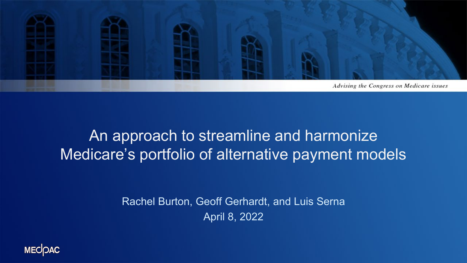

### An approach to streamline and harmonize Medicare's portfolio of alternative payment models

Rachel Burton, Geoff Gerhardt, and Luis Serna April 8, 2022

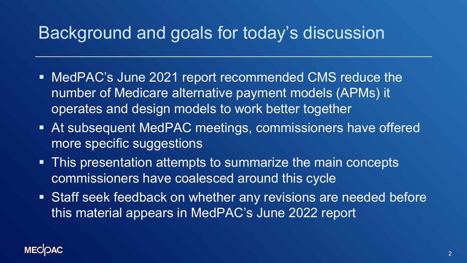## Background and goals for today's discussion

- MedPAC's June 2021 report recommended CMS reduce the number of Medicare alternative payment models (APMs) it operates and design models to work better together
- At subsequent MedPAC meetings, commissioners have offered more specific suggestions
- This presentation attempts to summarize the main concepts commissioners have coalesced around this cycle
- **Staff seek feedback on whether any revisions are needed before** this material appears in MedPAC's June 2022 report

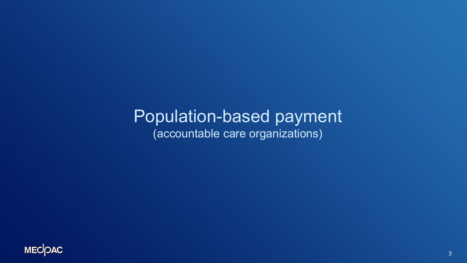### Population-based payment (accountable care organizations)

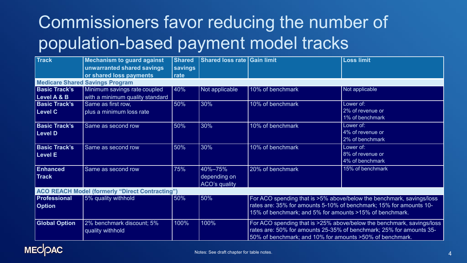# Commissioners favor reducing the number of population-based payment model tracks

| <b>Track</b>                                           | <b>Mechanism to guard against</b> | <b>Shared</b> | Shared loss rate Gain limit |                                                                       | <b>Loss limit</b>                                                   |
|--------------------------------------------------------|-----------------------------------|---------------|-----------------------------|-----------------------------------------------------------------------|---------------------------------------------------------------------|
|                                                        | unwarranted shared savings        | savings       |                             |                                                                       |                                                                     |
|                                                        | or shared loss payments           | rate          |                             |                                                                       |                                                                     |
| <b>Medicare Shared Savings Program</b>                 |                                   |               |                             |                                                                       |                                                                     |
| <b>Basic Track's</b>                                   | Minimum savings rate coupled      | 40%           | Not applicable              | 10% of benchmark                                                      | Not applicable                                                      |
| Level A & B                                            | with a minimum quality standard   |               |                             |                                                                       |                                                                     |
| <b>Basic Track's</b>                                   | Same as first row,                | 50%           | 30%                         | 10% of benchmark                                                      | Lower of:                                                           |
| <b>Level C</b>                                         | plus a minimum loss rate          |               |                             |                                                                       | 2% of revenue or                                                    |
|                                                        |                                   |               |                             |                                                                       | 1% of benchmark                                                     |
| <b>Basic Track's</b>                                   | Same as second row                | 50%           | 30%                         | 10% of benchmark                                                      | Lower of:                                                           |
| <b>Level D</b>                                         |                                   |               |                             |                                                                       | 4% of revenue or                                                    |
|                                                        |                                   |               |                             |                                                                       | 2% of benchmark                                                     |
| <b>Basic Track's</b>                                   | Same as second row                | 50%           | 30%                         | 10% of benchmark                                                      | Lower of:                                                           |
| <b>Level E</b>                                         |                                   |               |                             |                                                                       | 8% of revenue or                                                    |
|                                                        |                                   |               |                             |                                                                       | 4% of benchmark                                                     |
| <b>Enhanced</b>                                        | Same as second row                | 75%           | 40%-75%                     | 20% of benchmark                                                      | 15% of benchmark                                                    |
| <b>Track</b>                                           |                                   |               | depending on                |                                                                       |                                                                     |
|                                                        |                                   |               | <b>ACO's quality</b>        |                                                                       |                                                                     |
| <b>ACO REACH Model (formerly "Direct Contracting")</b> |                                   |               |                             |                                                                       |                                                                     |
| <b>Professional</b>                                    | 5% quality withhold               | 50%           | 50%                         | For ACO spending that is >5% above/below the benchmark, savings/loss  |                                                                     |
| <b>Option</b>                                          |                                   |               |                             | rates are: 35% for amounts 5-10% of benchmark; 15% for amounts 10-    |                                                                     |
|                                                        |                                   |               |                             | 15% of benchmark; and 5% for amounts >15% of benchmark.               |                                                                     |
| <b>Global Option</b>                                   | 2% benchmark discount; 5%         | 100%          | 100%                        | For ACO spending that is >25% above/below the benchmark, savings/loss |                                                                     |
|                                                        | quality withhold                  |               |                             |                                                                       | rates are: 50% for amounts 25-35% of benchmark; 25% for amounts 35- |
|                                                        |                                   |               |                             | 50% of benchmark; and 10% for amounts >50% of benchmark.              |                                                                     |

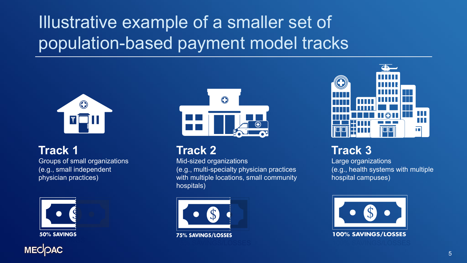# Illustrative example of a smaller set of population-based payment model tracks



#### **Track 1**

Groups of small organizations (e.g., small independent physician practices)







#### **Track 2**

Mid-sized organizations (e.g., multi-specialty physician practices with multiple locations, small community hospitals)





### **Track 3**

Large organizations (e.g., health systems with multiple hospital campuses)

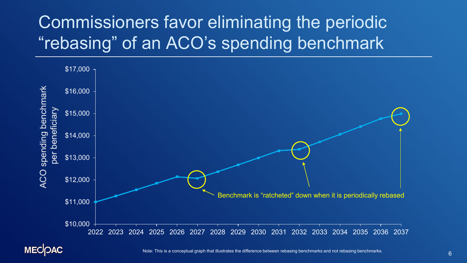# Commissioners favor eliminating the periodic "rebasing" of an ACO's spending benchmark



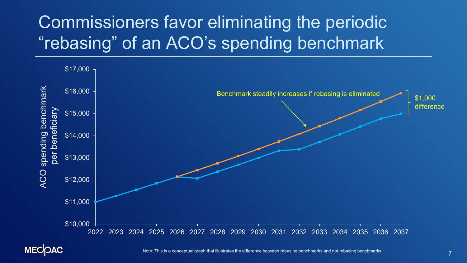# Commissioners favor eliminating the periodic "rebasing" of an ACO's spending benchmark



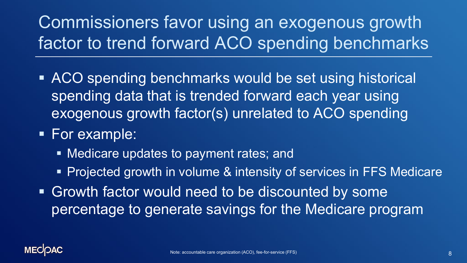Commissioners favor using an exogenous growth factor to trend forward ACO spending benchmarks

- **ACO** spending benchmarks would be set using historical spending data that is trended forward each year using exogenous growth factor(s) unrelated to ACO spending
- **For example:** 
	- Medicare updates to payment rates; and
	- **Projected growth in volume & intensity of services in FFS Medicare**
- **Growth factor would need to be discounted by some** percentage to generate savings for the Medicare program

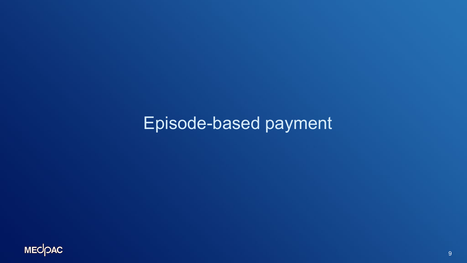## Episode-based payment

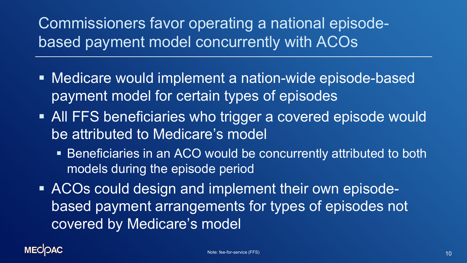Commissioners favor operating a national episodebased payment model concurrently with ACOs

- Medicare would implement a nation-wide episode-based payment model for certain types of episodes
- **All FFS beneficiaries who trigger a covered episode would** be attributed to Medicare's model
	- Beneficiaries in an ACO would be concurrently attributed to both models during the episode period
- ACOs could design and implement their own episodebased payment arrangements for types of episodes not covered by Medicare's model

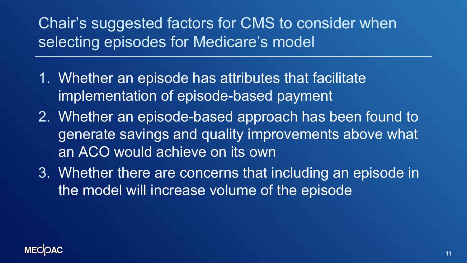Chair's suggested factors for CMS to consider when selecting episodes for Medicare's model

- 1. Whether an episode has attributes that facilitate implementation of episode-based payment
- 2. Whether an episode-based approach has been found to generate savings and quality improvements above what an ACO would achieve on its own
- 3. Whether there are concerns that including an episode in the model will increase volume of the episode

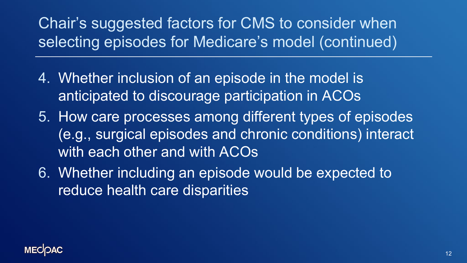Chair's suggested factors for CMS to consider when selecting episodes for Medicare's model (continued)

- 4. Whether inclusion of an episode in the model is anticipated to discourage participation in ACOs
- 5. How care processes among different types of episodes (e.g., surgical episodes and chronic conditions) interact with each other and with ACOs
- 6. Whether including an episode would be expected to reduce health care disparities

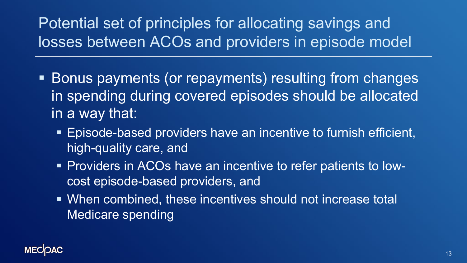### Potential set of principles for allocating savings and losses between ACOs and providers in episode model

- **Bonus payments (or repayments) resulting from changes** in spending during covered episodes should be allocated in a way that:
	- Episode-based providers have an incentive to furnish efficient, high-quality care, and
	- Providers in ACOs have an incentive to refer patients to lowcost episode-based providers, and
	- When combined, these incentives should not increase total Medicare spending